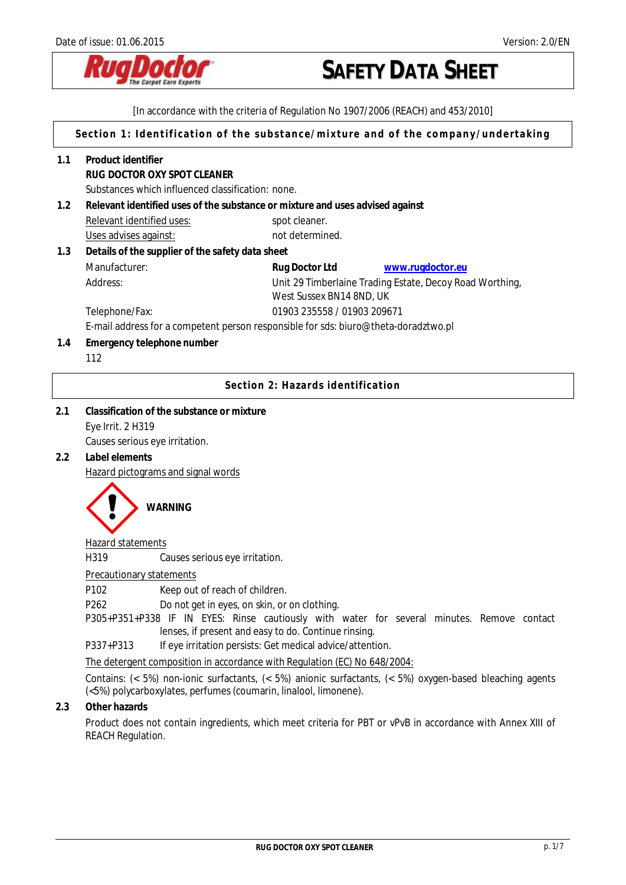

[In accordance with the criteria of Regulation No 1907/2006 (REACH) and 453/2010]

**Section 1: Identification of the substance/mixture and of the company/undertaking** 

- **1.1 Product identifier RUG DOCTOR OXY SPOT CLEANER**  Substances which influenced classification: none. **1.2 Relevant identified uses of the substance or mixture and uses advised against**  Relevant identified uses: spot cleaner. Uses advises against: not determined. **1.3 Details of the supplier of the safety data sheet**  Manufacturer: **Rug Doctor Ltd [www.rugdoctor.eu](http://www.rugdoctor.eu/)** Address: Unit 29 Timberlaine Trading Estate, Decoy Road Worthing, West Sussex BN14 8ND, UK Telephone/Fax: 01903 235558 / 01903 209671 E-mail address for a competent person responsible for sds: biuro@theta-doradztwo.pl **1.4 Emergency telephone number** 112 **Section 2: Hazards identification**
- **2.1 Classification of the substance or mixture**  Eye Irrit. 2 H319 Causes serious eye irritation.
- **2.2 Label elements**

Hazard pictograms and signal words



### Hazard statements

H319 Causes serious eye irritation.

#### Precautionary statements

P102 Keep out of reach of children.

P262Do not get in eyes, on skin, or on clothing.

P305+P351+P338 IF IN EYES: Rinse cautiously with water for several minutes. Remove contact lenses, if present and easy to do. Continue rinsing.

P337+P313 If eye irritation persists: Get medical advice/attention.

The detergent composition in accordance with Regulation (EC) No 648/2004:

Contains: (< 5%) non-ionic surfactants, (< 5%) anionic surfactants, (< 5%) oxygen-based bleaching agents (<5%) polycarboxylates, perfumes (coumarin, linalool, limonene).

## **2.3 Other hazards**

Product does not contain ingredients, which meet criteria for PBT or vPvB in accordance with Annex XIII of REACH Regulation.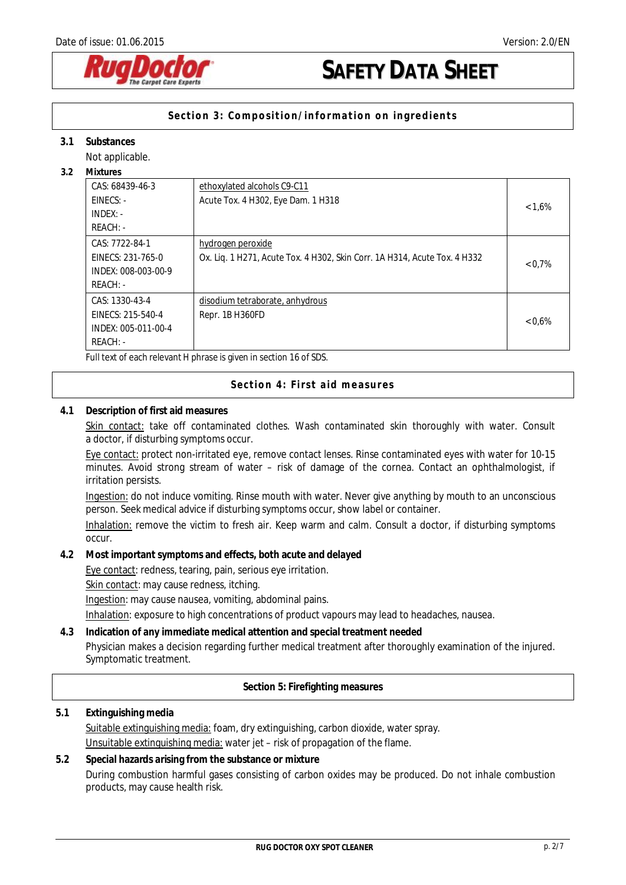

## **Section 3: Composition/information on ingredients**

### **3.1 Substances**

Not applicable.

**3.2 Mixtures** 

| iviixtul es                                                                |                                                                           |           |
|----------------------------------------------------------------------------|---------------------------------------------------------------------------|-----------|
| CAS: 68439-46-3                                                            | ethoxylated alcohols C9-C11                                               |           |
| $EINECS: -$                                                                | Acute Tox. 4 H302, Eye Dam. 1 H318                                        |           |
| $INDEX: -$                                                                 |                                                                           | $< 1.6\%$ |
| $REACH: -$                                                                 |                                                                           |           |
| CAS: 7722-84-1                                                             | hydrogen peroxide                                                         |           |
| EINECS: 231-765-0                                                          | Ox. Lig. 1 H271, Acute Tox. 4 H302, Skin Corr. 1A H314, Acute Tox. 4 H332 |           |
| INDEX: 008-003-00-9                                                        |                                                                           | 0.7%      |
| $REACH: -$                                                                 |                                                                           |           |
| CAS: 1330-43-4                                                             | disodium tetraborate, anhydrous                                           |           |
| EINECS: 215-540-4                                                          | Repr. 1B H360FD                                                           |           |
| INDEX: 005-011-00-4                                                        |                                                                           | $< 0.6\%$ |
| $REACH: -$                                                                 |                                                                           |           |
| Full to at a finishment of the state of the state of the state of the CDC. |                                                                           |           |

Full text of each relevant H phrase is given in section 16 of SDS.

**Section 4: First aid measures**

#### **4.1 Description of first aid measures**

Skin contact: take off contaminated clothes. Wash contaminated skin thoroughly with water. Consult a doctor, if disturbing symptoms occur.

Eye contact: protect non-irritated eye, remove contact lenses. Rinse contaminated eyes with water for 10-15 minutes. Avoid strong stream of water – risk of damage of the cornea. Contact an ophthalmologist, if irritation persists.

Ingestion: do not induce vomiting. Rinse mouth with water. Never give anything by mouth to an unconscious person. Seek medical advice if disturbing symptoms occur, show label or container.

Inhalation: remove the victim to fresh air. Keep warm and calm. Consult a doctor, if disturbing symptoms occur.

**4.2 Most important symptoms and effects, both acute and delayed** 

Eye contact: redness, tearing, pain, serious eye irritation.

Skin contact: may cause redness, itching.

Ingestion: may cause nausea, vomiting, abdominal pains.

Inhalation: exposure to high concentrations of product vapours may lead to headaches, nausea.

**4.3 Indication of any immediate medical attention and special treatment needed** Physician makes a decision regarding further medical treatment after thoroughly examination of the injured. Symptomatic treatment.

**Section 5: Firefighting measures**

### **5.1 Extinguishing media**

Suitable extinguishing media: foam, dry extinguishing, carbon dioxide, water spray. Unsuitable extinguishing media: water jet – risk of propagation of the flame.

## **5.2 Special hazards arising from the substance or mixture**  During combustion harmful gases consisting of carbon oxides may be produced. Do not inhale combustion products, may cause health risk.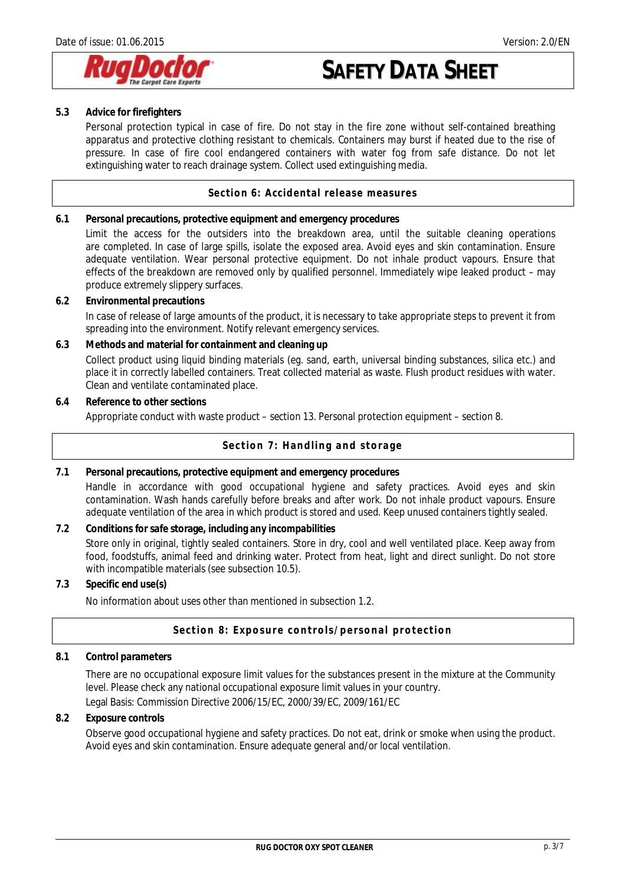

### **5.3 Advice for firefighters**

Personal protection typical in case of fire. Do not stay in the fire zone without self-contained breathing apparatus and protective clothing resistant to chemicals. Containers may burst if heated due to the rise of pressure. In case of fire cool endangered containers with water fog from safe distance. Do not let extinguishing water to reach drainage system. Collect used extinguishing media.

### **Section 6: Accidental release measures**

- **6.1 Personal precautions, protective equipment and emergency procedures** 
	- Limit the access for the outsiders into the breakdown area, until the suitable cleaning operations are completed. In case of large spills, isolate the exposed area. Avoid eyes and skin contamination. Ensure adequate ventilation. Wear personal protective equipment. Do not inhale product vapours. Ensure that effects of the breakdown are removed only by qualified personnel. Immediately wipe leaked product – may produce extremely slippery surfaces.
- **6.2 Environmental precautions**

In case of release of large amounts of the product, it is necessary to take appropriate steps to prevent it from spreading into the environment. Notify relevant emergency services.

**6.3 Methods and material for containment and cleaning up**

Collect product using liquid binding materials (eg. sand, earth, universal binding substances, silica etc.) and place it in correctly labelled containers. Treat collected material as waste. Flush product residues with water. Clean and ventilate contaminated place.

**6.4 Reference to other sections** Appropriate conduct with waste product – section 13. Personal protection equipment – section 8.

## **Section 7: Handling and storage**

- **7.1 Personal precautions, protective equipment and emergency procedures**  Handle in accordance with good occupational hygiene and safety practices. Avoid eyes and skin contamination. Wash hands carefully before breaks and after work. Do not inhale product vapours. Ensure adequate ventilation of the area in which product is stored and used. Keep unused containers tightly sealed.
- **7.2 Conditions for safe storage, including any incompabilities**  Store only in original, tightly sealed containers. Store in dry, cool and well ventilated place. Keep away from food, foodstuffs, animal feed and drinking water. Protect from heat, light and direct sunlight. Do not store with incompatible materials (see subsection 10.5).
- **7.3 Specific end use(s)**

No information about uses other than mentioned in subsection 1.2.

### **Section 8: Exposure controls/personal protection**

**8.1 Control parameters** 

There are no occupational exposure limit values for the substances present in the mixture at the Community level. Please check any national occupational exposure limit values in your country.

Legal Basis: Commission Directive 2006/15/EC, 2000/39/EC, 2009/161/EC

**8.2 Exposure controls**

Observe good occupational hygiene and safety practices. Do not eat, drink or smoke when using the product. Avoid eyes and skin contamination. Ensure adequate general and/or local ventilation.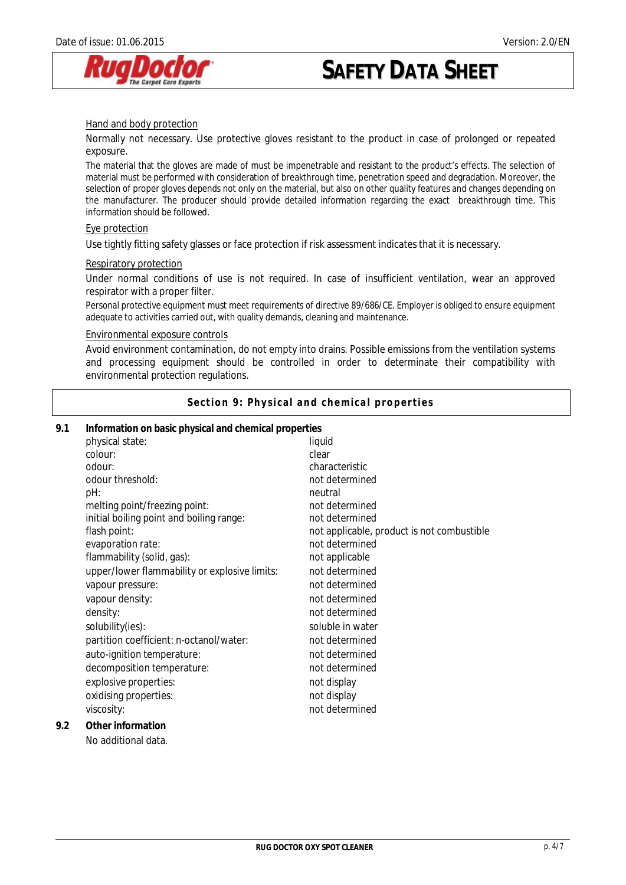

#### Hand and body protection

Normally not necessary. Use protective gloves resistant to the product in case of prolonged or repeated exposure.

The material that the gloves are made of must be impenetrable and resistant to the product's effects. The selection of material must be performed with consideration of breakthrough time, penetration speed and degradation. Moreover, the selection of proper gloves depends not only on the material, but also on other quality features and changes depending on the manufacturer. The producer should provide detailed information regarding the exact breakthrough time. This information should be followed.

#### Eye protection

Use tightly fitting safety glasses or face protection if risk assessment indicates that it is necessary.

#### Respiratory protection

Under normal conditions of use is not required. In case of insufficient ventilation, wear an approved respirator with a proper filter.

Personal protective equipment must meet requirements of directive 89/686/CE. Employer is obliged to ensure equipment adequate to activities carried out, with quality demands, cleaning and maintenance.

#### Environmental exposure controls

Avoid environment contamination, do not empty into drains. Possible emissions from the ventilation systems and processing equipment should be controlled in order to determinate their compatibility with environmental protection regulations.

**Section 9: Physical and chemical properties** 

| 9.1 | Information on basic physical and chemical properties |                                            |  |
|-----|-------------------------------------------------------|--------------------------------------------|--|
|     | physical state:                                       | liquid                                     |  |
|     | colour:                                               | clear                                      |  |
|     | odour:                                                | characteristic                             |  |
|     | odour threshold:                                      | not determined                             |  |
|     | pH:                                                   | neutral                                    |  |
|     | melting point/freezing point:                         | not determined                             |  |
|     | initial boiling point and boiling range:              | not determined                             |  |
|     | flash point:                                          | not applicable, product is not combustible |  |
|     | evaporation rate:                                     | not determined                             |  |
|     | flammability (solid, gas):                            | not applicable                             |  |
|     | upper/lower flammability or explosive limits:         | not determined                             |  |
|     | vapour pressure:                                      | not determined                             |  |
|     | vapour density:                                       | not determined                             |  |
|     | density:                                              | not determined                             |  |
|     | solubility(ies):                                      | soluble in water                           |  |
|     | partition coefficient: n-octanol/water:               | not determined                             |  |
|     | auto-ignition temperature:                            | not determined                             |  |
|     | decomposition temperature:                            | not determined                             |  |
|     | explosive properties:                                 | not display                                |  |
|     | oxidising properties:                                 | not display                                |  |
|     | viscosity:                                            | not determined                             |  |
| 9.2 | Other information                                     |                                            |  |
|     | No additional data.                                   |                                            |  |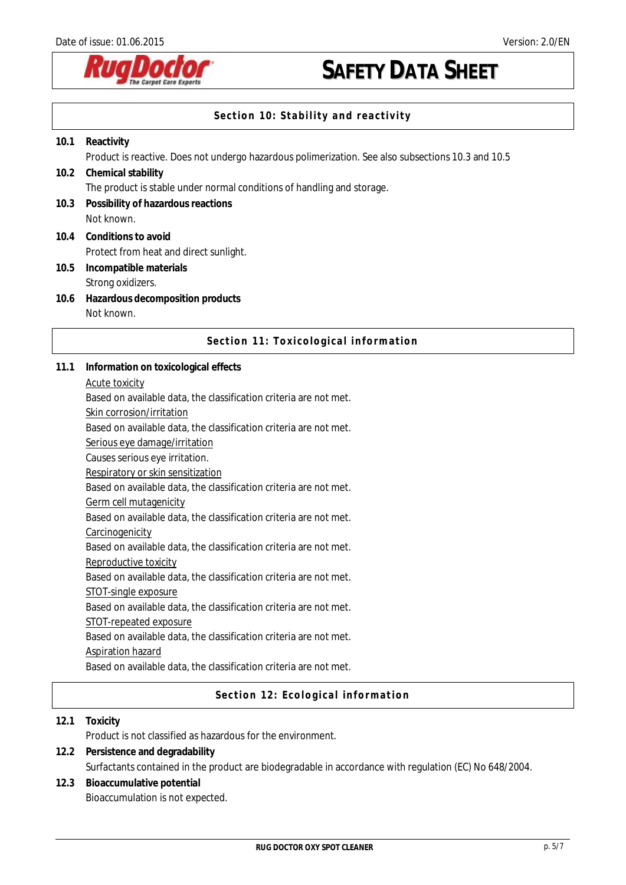

## **Section 10: Stability and reactivity**

| 10.1 | Reactivity                                                                                         |
|------|----------------------------------------------------------------------------------------------------|
|      | Product is reactive. Does not undergo hazardous polimerization. See also subsections 10.3 and 10.5 |
| 10.2 | Chemical stability                                                                                 |
|      | The product is stable under normal conditions of handling and storage.                             |
| 10.3 | Possibility of hazardous reactions                                                                 |
|      | Not known.                                                                                         |
|      | 10.4 Conditions to avoid                                                                           |
|      | Protect from heat and direct sunlight.                                                             |
| 10.5 | Incompatible materials                                                                             |
|      | Strong oxidizers.                                                                                  |
|      | 10.6 Hazardous decomposition products                                                              |

**10.6 Hazardous decomposition products**  Not known.

### **Section 11: Toxicological information**

- **11.1 Information on toxicological effects** 
	- Acute toxicity

Based on available data, the classification criteria are not met.

Skin corrosion/irritation

Based on available data, the classification criteria are not met.

Serious eye damage/irritation

Causes serious eye irritation.

Respiratory or skin sensitization

Based on available data, the classification criteria are not met.

Germ cell mutagenicity

Based on available data, the classification criteria are not met.

**Carcinogenicity** 

Based on available data, the classification criteria are not met.

Reproductive toxicity

Based on available data, the classification criteria are not met.

STOT-single exposure

Based on available data, the classification criteria are not met.

STOT-repeated exposure

Based on available data, the classification criteria are not met.

Aspiration hazard

Based on available data, the classification criteria are not met.

### **Section 12: Ecological information**

**12.1 Toxicity**  Product is not classified as hazardous for the environment. **12.2 Persistence and degradability** 

- Surfactants contained in the product are biodegradable in accordance with regulation (EC) No 648/2004.
- **12.3 Bioaccumulative potential**  Bioaccumulation is not expected.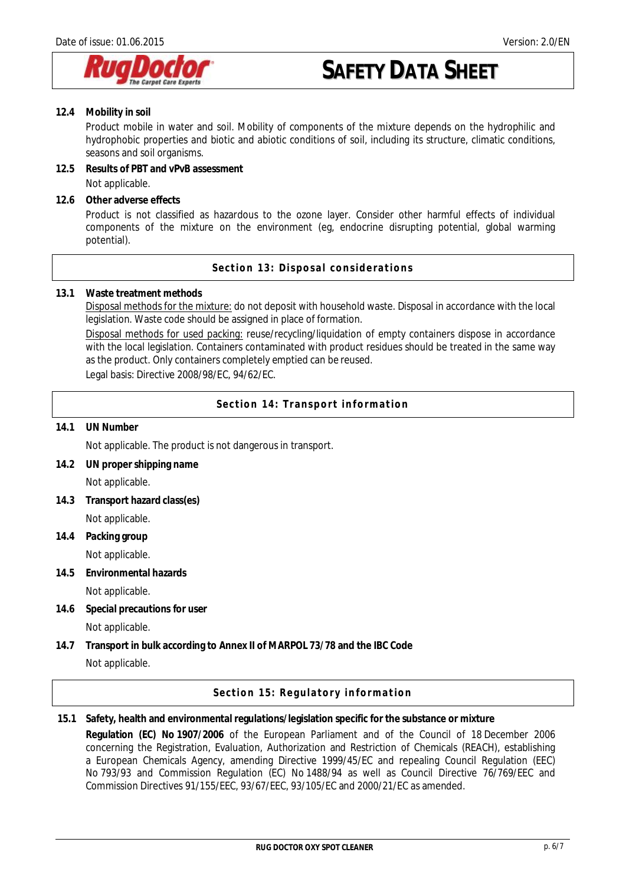

**12.4 Mobility in soil** 

Product mobile in water and soil. Mobility of components of the mixture depends on the hydrophilic and hydrophobic properties and biotic and abiotic conditions of soil, including its structure, climatic conditions, seasons and soil organisms.

- **12.5 Results of PBT and vPvB assessment**  Not applicable.
- **12.6 Other adverse effects** 
	- Product is not classified as hazardous to the ozone layer. Consider other harmful effects of individual components of the mixture on the environment (eg, endocrine disrupting potential, global warming potential).

**Section 13: Disposal considerations** 

**13.1 Waste treatment methods** 

Disposal methods for the mixture: do not deposit with household waste. Disposal in accordance with the local legislation. Waste code should be assigned in place of formation.

Disposal methods for used packing: reuse/recycling/liquidation of empty containers dispose in accordance with the local legislation. Containers contaminated with product residues should be treated in the same way as the product. Only containers completely emptied can be reused.

Legal basis: Directive 2008/98/EC, 94/62/EC.

**Section 14: Transport information** 

**14.1 UN Number**

Not applicable. The product is not dangerous in transport.

- **14.2 UN proper shipping name**  Not applicable.
- **14.3 Transport hazard class(es)**  Not applicable.
- **14.4 Packing group**  Not applicable.
- **14.5 Environmental hazards** 
	- Not applicable.
- **14.6 Special precautions for user**  Not applicable.
- **14.7 Transport in bulk according to Annex II of MARPOL 73/78 and the IBC Code**  Not applicable.

**Section 15: Regulatory information** 

**15.1 Safety, health and environmental regulations/legislation specific for the substance or mixture Regulation (EC) No 1907/2006** of the European Parliament and of the Council of 18 December 2006 concerning the Registration, Evaluation, Authorization and Restriction of Chemicals (REACH), establishing a European Chemicals Agency, amending Directive 1999/45/EC and repealing Council Regulation (EEC) No 793/93 and Commission Regulation (EC) No 1488/94 as well as Council Directive 76/769/EEC and Commission Directives 91/155/EEC, 93/67/EEC, 93/105/EC and 2000/21/EC as amended.